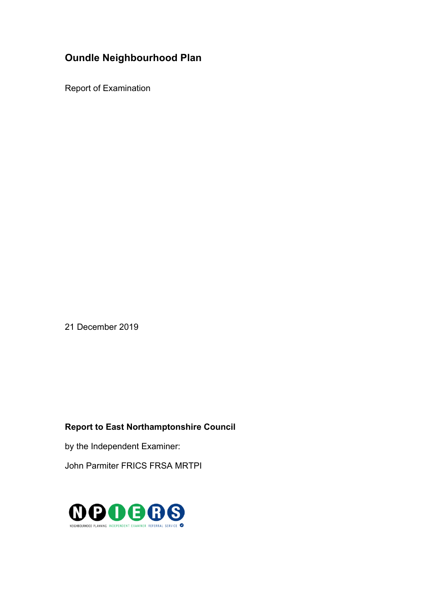# **Oundle Neighbourhood Plan**

Report of Examination

21 December 2019

## **Report to East Northamptonshire Council**

by the Independent Examiner:

John Parmiter FRICS FRSA MRTPI

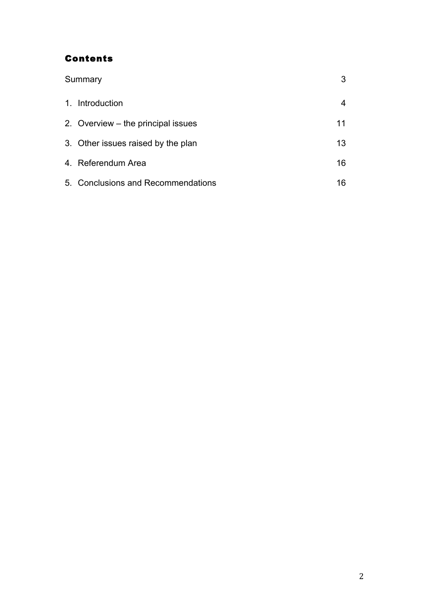## Contents

| Summary |                                    |    |
|---------|------------------------------------|----|
|         | 1. Introduction                    |    |
|         | 2. Overview – the principal issues | 11 |
|         | 3. Other issues raised by the plan | 13 |
|         | 4. Referendum Area                 | 16 |
|         | 5. Conclusions and Recommendations | 16 |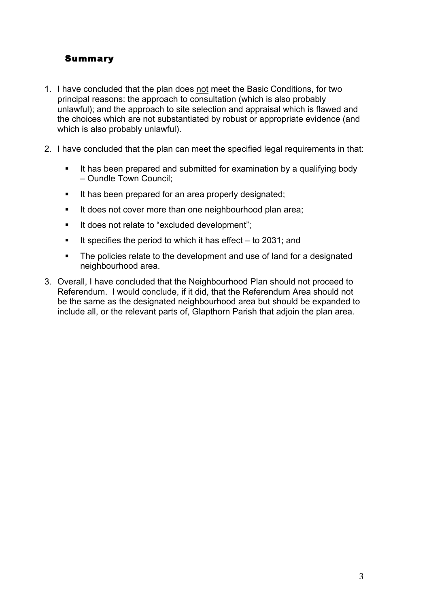## Summary

- 1. I have concluded that the plan does not meet the Basic Conditions, for two principal reasons: the approach to consultation (which is also probably unlawful); and the approach to site selection and appraisal which is flawed and the choices which are not substantiated by robust or appropriate evidence (and which is also probably unlawful).
- 2. I have concluded that the plan can meet the specified legal requirements in that:
	- It has been prepared and submitted for examination by a qualifying body – Oundle Town Council;
	- It has been prepared for an area properly designated;
	- **It does not cover more than one neighbourhood plan area;**
	- It does not relate to "excluded development";
	- **If specifies the period to which it has effect to 2031; and**
	- The policies relate to the development and use of land for a designated neighbourhood area.
- 3. Overall, I have concluded that the Neighbourhood Plan should not proceed to Referendum. I would conclude, if it did, that the Referendum Area should not be the same as the designated neighbourhood area but should be expanded to include all, or the relevant parts of, Glapthorn Parish that adjoin the plan area.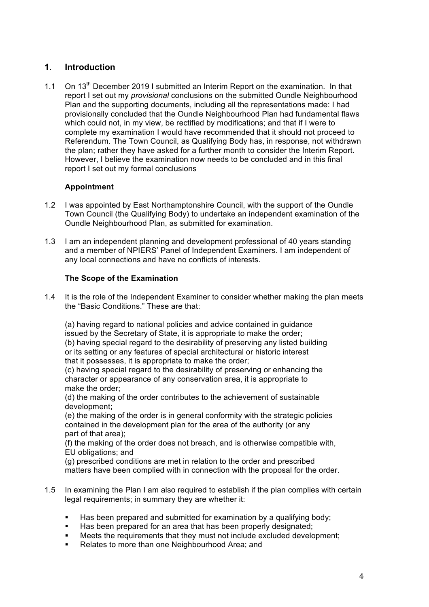## **1. Introduction**

1.1 On  $13<sup>th</sup>$  December 2019 I submitted an Interim Report on the examination. In that report I set out my *provisional* conclusions on the submitted Oundle Neighbourhood Plan and the supporting documents, including all the representations made: I had provisionally concluded that the Oundle Neighbourhood Plan had fundamental flaws which could not, in my view, be rectified by modifications; and that if I were to complete my examination I would have recommended that it should not proceed to Referendum. The Town Council, as Qualifying Body has, in response, not withdrawn the plan; rather they have asked for a further month to consider the Interim Report. However, I believe the examination now needs to be concluded and in this final report I set out my formal conclusions

## **Appointment**

- 1.2 I was appointed by East Northamptonshire Council, with the support of the Oundle Town Council (the Qualifying Body) to undertake an independent examination of the Oundle Neighbourhood Plan, as submitted for examination.
- 1.3 I am an independent planning and development professional of 40 years standing and a member of NPIERS' Panel of Independent Examiners. I am independent of any local connections and have no conflicts of interests.

#### **The Scope of the Examination**

1.4 It is the role of the Independent Examiner to consider whether making the plan meets the "Basic Conditions." These are that:

(a) having regard to national policies and advice contained in guidance issued by the Secretary of State, it is appropriate to make the order; (b) having special regard to the desirability of preserving any listed building or its setting or any features of special architectural or historic interest that it possesses, it is appropriate to make the order;

(c) having special regard to the desirability of preserving or enhancing the character or appearance of any conservation area, it is appropriate to make the order;

(d) the making of the order contributes to the achievement of sustainable development;

(e) the making of the order is in general conformity with the strategic policies contained in the development plan for the area of the authority (or any part of that area);

(f) the making of the order does not breach, and is otherwise compatible with, EU obligations; and

(g) prescribed conditions are met in relation to the order and prescribed matters have been complied with in connection with the proposal for the order.

- 1.5 In examining the Plan I am also required to establish if the plan complies with certain legal requirements; in summary they are whether it:
	- Has been prepared and submitted for examination by a qualifying body;
	- **EXECT** Has been prepared for an area that has been properly designated;
	- Meets the requirements that they must not include excluded development;
	- Relates to more than one Neighbourhood Area; and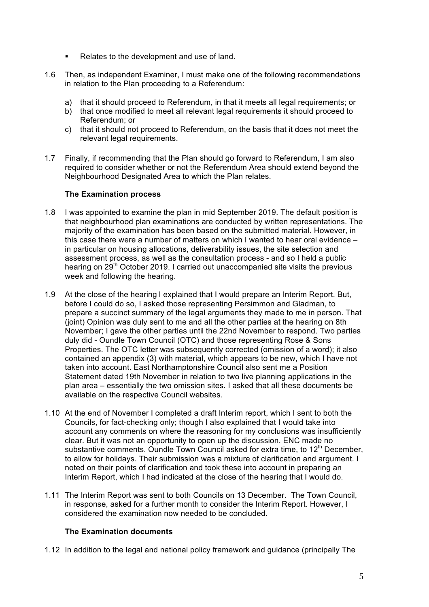- Relates to the development and use of land.
- 1.6 Then, as independent Examiner, I must make one of the following recommendations in relation to the Plan proceeding to a Referendum:
	- a) that it should proceed to Referendum, in that it meets all legal requirements; or
	- b) that once modified to meet all relevant legal requirements it should proceed to Referendum; or
	- c) that it should not proceed to Referendum, on the basis that it does not meet the relevant legal requirements.
- 1.7 Finally, if recommending that the Plan should go forward to Referendum, I am also required to consider whether or not the Referendum Area should extend beyond the Neighbourhood Designated Area to which the Plan relates.

#### **The Examination process**

- 1.8 I was appointed to examine the plan in mid September 2019. The default position is that neighbourhood plan examinations are conducted by written representations. The majority of the examination has been based on the submitted material. However, in this case there were a number of matters on which I wanted to hear oral evidence – in particular on housing allocations, deliverability issues, the site selection and assessment process, as well as the consultation process - and so I held a public hearing on 29<sup>th</sup> October 2019. I carried out unaccompanied site visits the previous week and following the hearing.
- 1.9 At the close of the hearing I explained that I would prepare an Interim Report. But, before I could do so, I asked those representing Persimmon and Gladman, to prepare a succinct summary of the legal arguments they made to me in person. That (joint) Opinion was duly sent to me and all the other parties at the hearing on 8th November; I gave the other parties until the 22nd November to respond. Two parties duly did - Oundle Town Council (OTC) and those representing Rose & Sons Properties. The OTC letter was subsequently corrected (omission of a word); it also contained an appendix (3) with material, which appears to be new, which I have not taken into account. East Northamptonshire Council also sent me a Position Statement dated 19th November in relation to two live planning applications in the plan area – essentially the two omission sites. I asked that all these documents be available on the respective Council websites.
- 1.10 At the end of November I completed a draft Interim report, which I sent to both the Councils, for fact-checking only; though I also explained that I would take into account any comments on where the reasoning for my conclusions was insufficiently clear. But it was not an opportunity to open up the discussion. ENC made no substantive comments. Oundle Town Council asked for extra time, to  $12<sup>th</sup>$  December, to allow for holidays. Their submission was a mixture of clarification and argument. I noted on their points of clarification and took these into account in preparing an Interim Report, which I had indicated at the close of the hearing that I would do.
- 1.11 The Interim Report was sent to both Councils on 13 December. The Town Council, in response, asked for a further month to consider the Interim Report. However, I considered the examination now needed to be concluded.

#### **The Examination documents**

1.12 In addition to the legal and national policy framework and guidance (principally The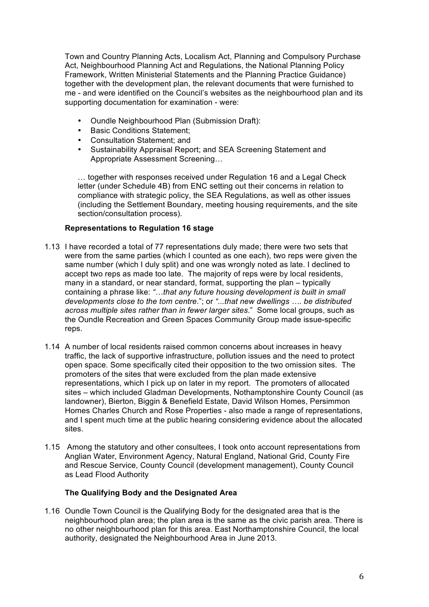Town and Country Planning Acts, Localism Act, Planning and Compulsory Purchase Act, Neighbourhood Planning Act and Regulations, the National Planning Policy Framework, Written Ministerial Statements and the Planning Practice Guidance) together with the development plan, the relevant documents that were furnished to me - and were identified on the Council's websites as the neighbourhood plan and its supporting documentation for examination - were:

- Oundle Neighbourhood Plan (Submission Draft):
- Basic Conditions Statement:
- Consultation Statement; and<br>• Sustainability Appraisal Repo
- Sustainability Appraisal Report; and SEA Screening Statement and Appropriate Assessment Screening…

… together with responses received under Regulation 16 and a Legal Check letter (under Schedule 4B) from ENC setting out their concerns in relation to compliance with strategic policy, the SEA Regulations, as well as other issues (including the Settlement Boundary, meeting housing requirements, and the site section/consultation process).

#### **Representations to Regulation 16 stage**

- 1.13 I have recorded a total of 77 representations duly made; there were two sets that were from the same parties (which I counted as one each), two reps were given the same number (which I duly split) and one was wrongly noted as late. I declined to accept two reps as made too late. The majority of reps were by local residents, many in a standard, or near standard, format, supporting the plan – typically containing a phrase like: *"…that any future housing development is built in small developments close to the tom centre*."; or *"...that new dwellings …. be distributed across multiple sites rather than in fewer larger sites*." Some local groups, such as the Oundle Recreation and Green Spaces Community Group made issue-specific reps
- 1.14 A number of local residents raised common concerns about increases in heavy traffic, the lack of supportive infrastructure, pollution issues and the need to protect open space. Some specifically cited their opposition to the two omission sites. The promoters of the sites that were excluded from the plan made extensive representations, which I pick up on later in my report. The promoters of allocated sites – which included Gladman Developments, Nothamptonshire County Council (as landowner), Bierton, Biggin & Benefield Estate, David Wilson Homes, Persimmon Homes Charles Church and Rose Properties - also made a range of representations, and I spent much time at the public hearing considering evidence about the allocated sites.
- 1.15 Among the statutory and other consultees, I took onto account representations from Anglian Water, Environment Agency, Natural England, National Grid, County Fire and Rescue Service, County Council (development management), County Council as Lead Flood Authority

#### **The Qualifying Body and the Designated Area**

1.16 Oundle Town Council is the Qualifying Body for the designated area that is the neighbourhood plan area; the plan area is the same as the civic parish area. There is no other neighbourhood plan for this area. East Northamptonshire Council, the local authority, designated the Neighbourhood Area in June 2013.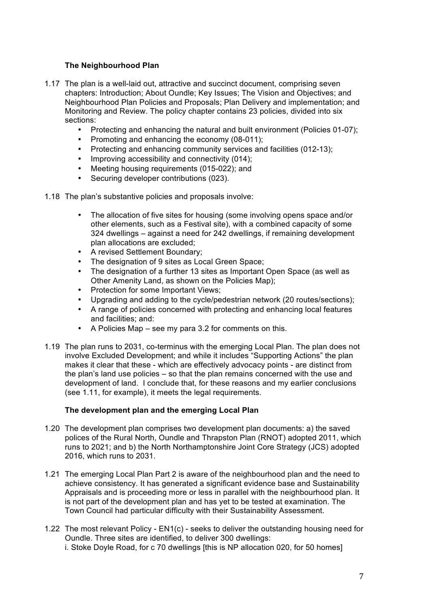#### **The Neighbourhood Plan**

- 1.17 The plan is a well-laid out, attractive and succinct document, comprising seven chapters: Introduction; About Oundle; Key Issues; The Vision and Objectives; and Neighbourhood Plan Policies and Proposals; Plan Delivery and implementation; and Monitoring and Review. The policy chapter contains 23 policies, divided into six sections:
	- Protecting and enhancing the natural and built environment (Policies 01-07);
	- Promoting and enhancing the economy (08-011);<br>• Protecting and enhancing community services and
	- Protecting and enhancing community services and facilities (012-13);
	- Improving accessibility and connectivity (014);
	- Meeting housing requirements (015-022); and
	- Securing developer contributions (023).
- 1.18 The plan's substantive policies and proposals involve:
	- The allocation of five sites for housing (some involving opens space and/or other elements, such as a Festival site), with a combined capacity of some 324 dwellings – against a need for 242 dwellings, if remaining development plan allocations are excluded;
	- A revised Settlement Boundary;
	- The designation of 9 sites as Local Green Space;
	- The designation of a further 13 sites as Important Open Space (as well as Other Amenity Land, as shown on the Policies Map);
	- Protection for some Important Views;
	- Upgrading and adding to the cycle/pedestrian network (20 routes/sections);
	- A range of policies concerned with protecting and enhancing local features and facilities; and:
	- A Policies Map see my para 3.2 for comments on this.
- 1.19 The plan runs to 2031, co-terminus with the emerging Local Plan. The plan does not involve Excluded Development; and while it includes "Supporting Actions" the plan makes it clear that these - which are effectively advocacy points - are distinct from the plan's land use policies – so that the plan remains concerned with the use and development of land. I conclude that, for these reasons and my earlier conclusions (see 1.11, for example), it meets the legal requirements.

#### **The development plan and the emerging Local Plan**

- 1.20 The development plan comprises two development plan documents: a) the saved polices of the Rural North, Oundle and Thrapston Plan (RNOT) adopted 2011, which runs to 2021; and b) the North Northamptonshire Joint Core Strategy (JCS) adopted 2016, which runs to 2031.
- 1.21 The emerging Local Plan Part 2 is aware of the neighbourhood plan and the need to achieve consistency. It has generated a significant evidence base and Sustainability Appraisals and is proceeding more or less in parallel with the neighbourhood plan. It is not part of the development plan and has yet to be tested at examination. The Town Council had particular difficulty with their Sustainability Assessment.
- 1.22 The most relevant Policy EN1(c) seeks to deliver the outstanding housing need for Oundle. Three sites are identified, to deliver 300 dwellings: i. Stoke Doyle Road, for c 70 dwellings [this is NP allocation 020, for 50 homes]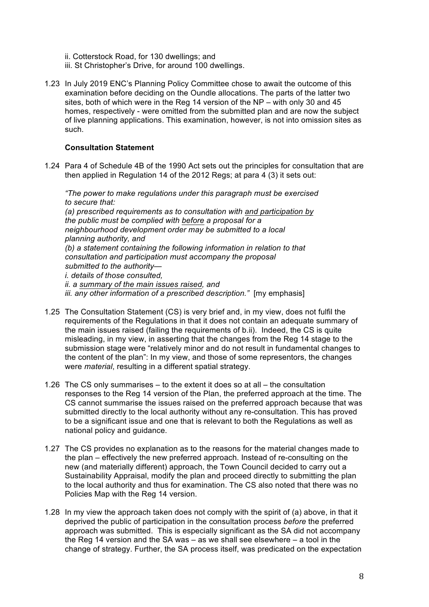- ii. Cotterstock Road, for 130 dwellings; and
- iii. St Christopher's Drive, for around 100 dwellings.
- 1.23 In July 2019 ENC's Planning Policy Committee chose to await the outcome of this examination before deciding on the Oundle allocations. The parts of the latter two sites, both of which were in the Reg 14 version of the NP – with only 30 and 45 homes, respectively - were omitted from the submitted plan and are now the subject of live planning applications. This examination, however, is not into omission sites as such.

#### **Consultation Statement**

1.24 Para 4 of Schedule 4B of the 1990 Act sets out the principles for consultation that are then applied in Regulation 14 of the 2012 Regs; at para 4 (3) it sets out:

*"The power to make regulations under this paragraph must be exercised to secure that:*

*(a) prescribed requirements as to consultation with and participation by the public must be complied with before a proposal for a neighbourhood development order may be submitted to a local planning authority, and (b) a statement containing the following information in relation to that consultation and participation must accompany the proposal submitted to the authority i. details of those consulted, ii. a summary of the main issues raised, and iii. any other information of a prescribed description."* [my emphasis]

- 1.25 The Consultation Statement (CS) is very brief and, in my view, does not fulfil the requirements of the Regulations in that it does not contain an adequate summary of the main issues raised (failing the requirements of b.ii). Indeed, the CS is quite misleading, in my view, in asserting that the changes from the Reg 14 stage to the submission stage were "relatively minor and do not result in fundamental changes to the content of the plan": In my view, and those of some representors, the changes were *material*, resulting in a different spatial strategy.
- 1.26 The CS only summarises to the extent it does so at all the consultation responses to the Reg 14 version of the Plan, the preferred approach at the time. The CS cannot summarise the issues raised on the preferred approach because that was submitted directly to the local authority without any re-consultation. This has proved to be a significant issue and one that is relevant to both the Regulations as well as national policy and guidance.
- 1.27 The CS provides no explanation as to the reasons for the material changes made to the plan – effectively the new preferred approach. Instead of re-consulting on the new (and materially different) approach, the Town Council decided to carry out a Sustainability Appraisal, modify the plan and proceed directly to submitting the plan to the local authority and thus for examination. The CS also noted that there was no Policies Map with the Reg 14 version.
- 1.28 In my view the approach taken does not comply with the spirit of (a) above, in that it deprived the public of participation in the consultation process *before* the preferred approach was submitted. This is especially significant as the SA did not accompany the Reg 14 version and the SA was – as we shall see elsewhere – a tool in the change of strategy. Further, the SA process itself, was predicated on the expectation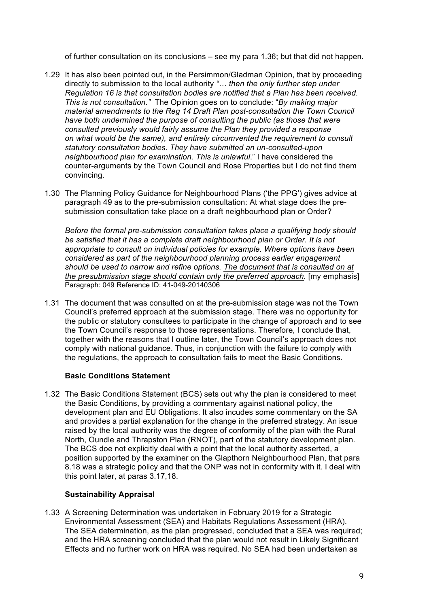of further consultation on its conclusions – see my para 1.36; but that did not happen.

- 1.29 It has also been pointed out, in the Persimmon/Gladman Opinion, that by proceeding directly to submission to the local authority *"… then the only further step under Regulation 16 is that consultation bodies are notified that a Plan has been received. This is not consultation."* The Opinion goes on to conclude: "*By making major material amendments to the Reg 14 Draft Plan post-consultation the Town Council have both undermined the purpose of consulting the public (as those that were consulted previously would fairly assume the Plan they provided a response on what would be the same), and entirely circumvented the requirement to consult statutory consultation bodies. They have submitted an un-consulted-upon neighbourhood plan for examination. This is unlawful*." I have considered the counter-arguments by the Town Council and Rose Properties but I do not find them convincing.
- 1.30 The Planning Policy Guidance for Neighbourhood Plans ('the PPG') gives advice at paragraph 49 as to the pre-submission consultation: At what stage does the presubmission consultation take place on a draft neighbourhood plan or Order?

*Before the formal pre-submission consultation takes place a qualifying body should be satisfied that it has a complete draft neighbourhood plan or Order. It is not appropriate to consult on individual policies for example. Where options have been considered as part of the neighbourhood planning process earlier engagement should be used to narrow and refine options. The document that is consulted on at the presubmission stage should contain only the preferred approach.* [my emphasis] Paragraph: 049 Reference ID: 41-049-20140306

1.31 The document that was consulted on at the pre-submission stage was not the Town Council's preferred approach at the submission stage. There was no opportunity for the public or statutory consultees to participate in the change of approach and to see the Town Council's response to those representations. Therefore, I conclude that, together with the reasons that I outline later, the Town Council's approach does not comply with national guidance. Thus, in conjunction with the failure to comply with the regulations, the approach to consultation fails to meet the Basic Conditions.

#### **Basic Conditions Statement**

1.32 The Basic Conditions Statement (BCS) sets out why the plan is considered to meet the Basic Conditions, by providing a commentary against national policy, the development plan and EU Obligations. It also incudes some commentary on the SA and provides a partial explanation for the change in the preferred strategy. An issue raised by the local authority was the degree of conformity of the plan with the Rural North, Oundle and Thrapston Plan (RNOT), part of the statutory development plan. The BCS doe not explicitly deal with a point that the local authority asserted, a position supported by the examiner on the Glapthorn Neighbourhood Plan, that para 8.18 was a strategic policy and that the ONP was not in conformity with it. I deal with this point later, at paras 3.17,18.

#### **Sustainability Appraisal**

1.33 A Screening Determination was undertaken in February 2019 for a Strategic Environmental Assessment (SEA) and Habitats Regulations Assessment (HRA). The SEA determination, as the plan progressed, concluded that a SEA was required; and the HRA screening concluded that the plan would not result in Likely Significant Effects and no further work on HRA was required. No SEA had been undertaken as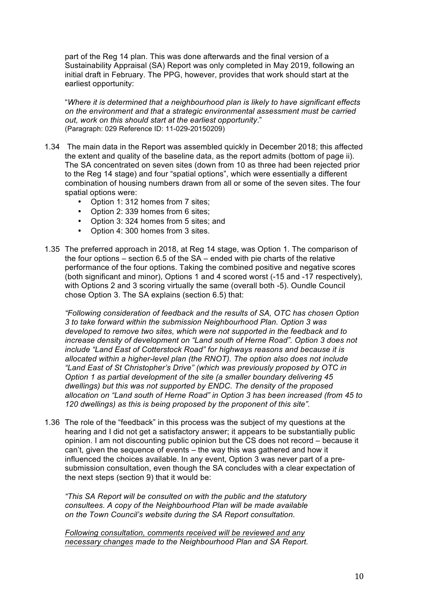part of the Reg 14 plan. This was done afterwards and the final version of a Sustainability Appraisal (SA) Report was only completed in May 2019, following an initial draft in February. The PPG, however, provides that work should start at the earliest opportunity:

"*Where it is determined that a neighbourhood plan is likely to have significant effects on the environment and that a strategic environmental assessment must be carried out, work on this should start at the earliest opportunity*." (Paragraph: 029 Reference ID: 11-029-20150209)

- 1.34 The main data in the Report was assembled quickly in December 2018; this affected the extent and quality of the baseline data, as the report admits (bottom of page ii). The SA concentrated on seven sites (down from 10 as three had been rejected prior to the Reg 14 stage) and four "spatial options", which were essentially a different combination of housing numbers drawn from all or some of the seven sites. The four spatial options were:
	- Option 1: 312 homes from 7 sites;
	- Option 2: 339 homes from 6 sites;
	- Option 3: 324 homes from 5 sites; and
	- Option 4: 300 homes from 3 sites.
- 1.35 The preferred approach in 2018, at Reg 14 stage, was Option 1. The comparison of the four options – section 6.5 of the SA – ended with pie charts of the relative performance of the four options. Taking the combined positive and negative scores (both significant and minor), Options 1 and 4 scored worst (-15 and -17 respectively), with Options 2 and 3 scoring virtually the same (overall both -5). Oundle Council chose Option 3. The SA explains (section 6.5) that:

*"Following consideration of feedback and the results of SA, OTC has chosen Option 3 to take forward within the submission Neighbourhood Plan. Option 3 was developed to remove two sites, which were not supported in the feedback and to increase density of development on "Land south of Herne Road". Option 3 does not include "Land East of Cotterstock Road" for highways reasons and because it is allocated within a higher-level plan (the RNOT). The option also does not include "Land East of St Christopher's Drive" (which was previously proposed by OTC in Option 1 as partial development of the site (a smaller boundary delivering 45 dwellings) but this was not supported by ENDC. The density of the proposed allocation on "Land south of Herne Road" in Option 3 has been increased (from 45 to 120 dwellings) as this is being proposed by the proponent of this site".* 

1.36 The role of the "feedback" in this process was the subject of my questions at the hearing and I did not get a satisfactory answer; it appears to be substantially public opinion. I am not discounting public opinion but the CS does not record – because it can't, given the sequence of events – the way this was gathered and how it influenced the choices available. In any event, Option 3 was never part of a presubmission consultation, even though the SA concludes with a clear expectation of the next steps (section 9) that it would be:

*"This SA Report will be consulted on with the public and the statutory consultees. A copy of the Neighbourhood Plan will be made available on the Town Council's website during the SA Report consultation.*

*Following consultation, comments received will be reviewed and any necessary changes made to the Neighbourhood Plan and SA Report.*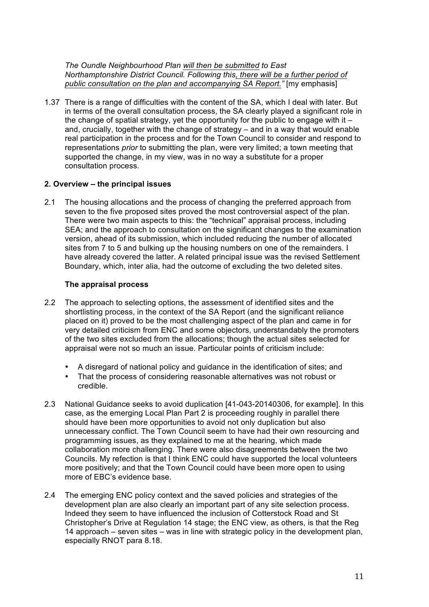*The Oundle Neighbourhood Plan will then be submitted to East Northamptonshire District Council. Following this, there will be a further period of public consultation on the plan and accompanying SA Report."* [my emphasis]

1.37 There is a range of difficulties with the content of the SA, which I deal with later. But in terms of the overall consultation process, the SA clearly played a significant role in the change of spatial strategy, yet the opportunity for the public to engage with it  $$ and, crucially, together with the change of strategy – and in a way that would enable real participation in the process and for the Town Council to consider and respond to representations *prior* to submitting the plan, were very limited; a town meeting that supported the change, in my view, was in no way a substitute for a proper consultation process.

#### **2. Overview – the principal issues**

2.1 The housing allocations and the process of changing the preferred approach from seven to the five proposed sites proved the most controversial aspect of the plan. There were two main aspects to this: the "technical" appraisal process, including SEA; and the approach to consultation on the significant changes to the examination version, ahead of its submission, which included reducing the number of allocated sites from 7 to 5 and bulking up the housing numbers on one of the remainders. I have already covered the latter. A related principal issue was the revised Settlement Boundary, which, inter alia, had the outcome of excluding the two deleted sites.

#### **The appraisal process**

- 2.2 The approach to selecting options, the assessment of identified sites and the shortlisting process, in the context of the SA Report (and the significant reliance placed on it) proved to be the most challenging aspect of the plan and came in for very detailed criticism from ENC and some objectors, understandably the promoters of the two sites excluded from the allocations; though the actual sites selected for appraisal were not so much an issue. Particular points of criticism include:
	- A disregard of national policy and guidance in the identification of sites; and
	- That the process of considering reasonable alternatives was not robust or credible.
- 2.3 National Guidance seeks to avoid duplication [41-043-20140306, for example]. In this case, as the emerging Local Plan Part 2 is proceeding roughly in parallel there should have been more opportunities to avoid not only duplication but also unnecessary conflict. The Town Council seem to have had their own resourcing and programming issues, as they explained to me at the hearing, which made collaboration more challenging. There were also disagreements between the two Councils. My refection is that I think ENC could have supported the local volunteers more positively; and that the Town Council could have been more open to using more of EBC's evidence base.
- 2.4 The emerging ENC policy context and the saved policies and strategies of the development plan are also clearly an important part of any site selection process. Indeed they seem to have influenced the inclusion of Cotterstock Road and St Christopher's Drive at Regulation 14 stage; the ENC view, as others, is that the Reg 14 approach – seven sites – was in line with strategic policy in the development plan, especially RNOT para 8.18.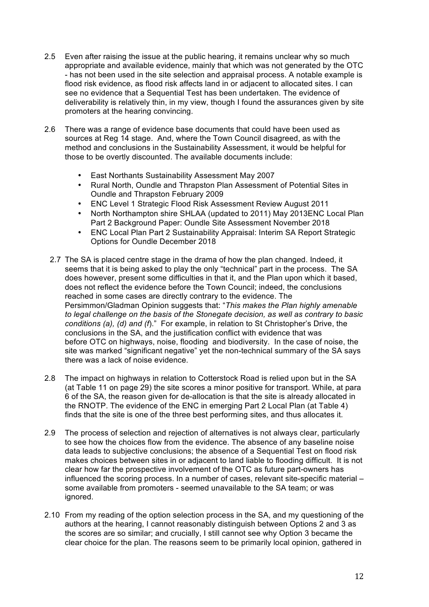- 2.5 Even after raising the issue at the public hearing, it remains unclear why so much appropriate and available evidence, mainly that which was not generated by the OTC - has not been used in the site selection and appraisal process. A notable example is flood risk evidence, as flood risk affects land in or adjacent to allocated sites. I can see no evidence that a Sequential Test has been undertaken. The evidence of deliverability is relatively thin, in my view, though I found the assurances given by site promoters at the hearing convincing.
- 2.6 There was a range of evidence base documents that could have been used as sources at Reg 14 stage. And, where the Town Council disagreed, as with the method and conclusions in the Sustainability Assessment, it would be helpful for those to be overtly discounted. The available documents include:
	- East Northants Sustainability Assessment May 2007
	- Rural North, Oundle and Thrapston Plan Assessment of Potential Sites in Oundle and Thrapston February 2009
	- ENC Level 1 Strategic Flood Risk Assessment Review August 2011
	- North Northampton shire SHLAA (updated to 2011) May 2013ENC Local Plan Part 2 Background Paper: Oundle Site Assessment November 2018
	- ENC Local Plan Part 2 Sustainability Appraisal: Interim SA Report Strategic Options for Oundle December 2018
- 2.7 The SA is placed centre stage in the drama of how the plan changed. Indeed, it seems that it is being asked to play the only "technical" part in the process. The SA does however, present some difficulties in that it, and the Plan upon which it based, does not reflect the evidence before the Town Council; indeed, the conclusions reached in some cases are directly contrary to the evidence. The Persimmon/Gladman Opinion suggests that: "*This makes the Plan highly amenable to legal challenge on the basis of the Stonegate decision, as well as contrary to basic conditions (a), (d) and (f*)." For example, in relation to St Christopher's Drive, the conclusions in the SA, and the justification conflict with evidence that was before OTC on highways, noise, flooding and biodiversity. In the case of noise, the site was marked "significant negative" yet the non-technical summary of the SA says there was a lack of noise evidence.
- 2.8 The impact on highways in relation to Cotterstock Road is relied upon but in the SA (at Table 11 on page 29) the site scores a minor positive for transport. While, at para 6 of the SA, the reason given for de-allocation is that the site is already allocated in the RNOTP. The evidence of the ENC in emerging Part 2 Local Plan (at Table 4) finds that the site is one of the three best performing sites, and thus allocates it.
- 2.9 The process of selection and rejection of alternatives is not always clear, particularly to see how the choices flow from the evidence. The absence of any baseline noise data leads to subjective conclusions; the absence of a Sequential Test on flood risk makes choices between sites in or adjacent to land liable to flooding difficult. It is not clear how far the prospective involvement of the OTC as future part-owners has influenced the scoring process. In a number of cases, relevant site-specific material – some available from promoters - seemed unavailable to the SA team; or was ignored.
- 2.10 From my reading of the option selection process in the SA, and my questioning of the authors at the hearing, I cannot reasonably distinguish between Options 2 and 3 as the scores are so similar; and crucially, I still cannot see why Option 3 became the clear choice for the plan. The reasons seem to be primarily local opinion, gathered in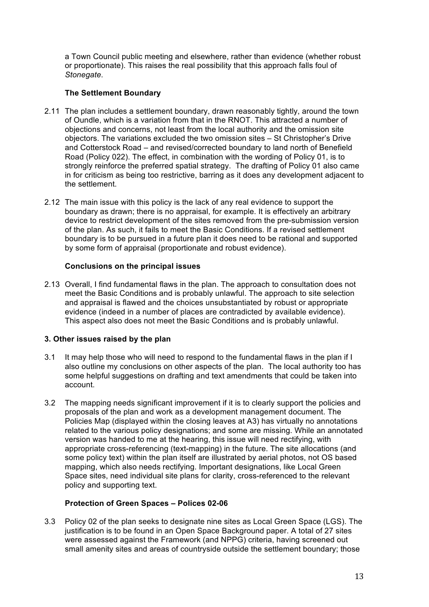a Town Council public meeting and elsewhere, rather than evidence (whether robust or proportionate). This raises the real possibility that this approach falls foul of *Stonegate*.

## **The Settlement Boundary**

- 2.11 The plan includes a settlement boundary, drawn reasonably tightly, around the town of Oundle, which is a variation from that in the RNOT. This attracted a number of objections and concerns, not least from the local authority and the omission site objectors. The variations excluded the two omission sites – St Christopher's Drive and Cotterstock Road – and revised/corrected boundary to land north of Benefield Road (Policy 022). The effect, in combination with the wording of Policy 01, is to strongly reinforce the preferred spatial strategy. The drafting of Policy 01 also came in for criticism as being too restrictive, barring as it does any development adjacent to the settlement.
- 2.12 The main issue with this policy is the lack of any real evidence to support the boundary as drawn; there is no appraisal, for example. It is effectively an arbitrary device to restrict development of the sites removed from the pre-submission version of the plan. As such, it fails to meet the Basic Conditions. If a revised settlement boundary is to be pursued in a future plan it does need to be rational and supported by some form of appraisal (proportionate and robust evidence).

#### **Conclusions on the principal issues**

2.13 Overall, I find fundamental flaws in the plan. The approach to consultation does not meet the Basic Conditions and is probably unlawful. The approach to site selection and appraisal is flawed and the choices unsubstantiated by robust or appropriate evidence (indeed in a number of places are contradicted by available evidence). This aspect also does not meet the Basic Conditions and is probably unlawful.

## **3. Other issues raised by the plan**

- 3.1 It may help those who will need to respond to the fundamental flaws in the plan if I also outline my conclusions on other aspects of the plan. The local authority too has some helpful suggestions on drafting and text amendments that could be taken into account.
- 3.2 The mapping needs significant improvement if it is to clearly support the policies and proposals of the plan and work as a development management document. The Policies Map (displayed within the closing leaves at A3) has virtually no annotations related to the various policy designations; and some are missing. While an annotated version was handed to me at the hearing, this issue will need rectifying, with appropriate cross-referencing (text-mapping) in the future. The site allocations (and some policy text) within the plan itself are illustrated by aerial photos, not OS based mapping, which also needs rectifying. Important designations, like Local Green Space sites, need individual site plans for clarity, cross-referenced to the relevant policy and supporting text.

## **Protection of Green Spaces – Polices 02-06**

3.3 Policy 02 of the plan seeks to designate nine sites as Local Green Space (LGS). The justification is to be found in an Open Space Background paper. A total of 27 sites were assessed against the Framework (and NPPG) criteria, having screened out small amenity sites and areas of countryside outside the settlement boundary; those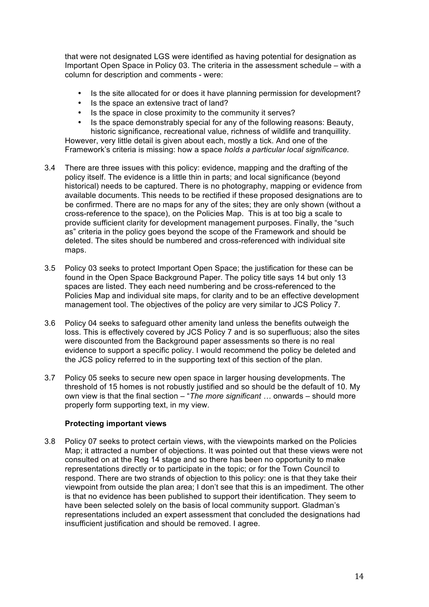that were not designated LGS were identified as having potential for designation as Important Open Space in Policy 03. The criteria in the assessment schedule – with a column for description and comments - were:

- Is the site allocated for or does it have planning permission for development?
- Is the space an extensive tract of land?
- Is the space in close proximity to the community it serves?
- Is the space demonstrably special for any of the following reasons: Beauty, historic significance, recreational value, richness of wildlife and tranquillity.

However, very little detail is given about each, mostly a tick. And one of the Framework's criteria is missing: how a space *holds a particular local significance.*

- 3.4 There are three issues with this policy: evidence, mapping and the drafting of the policy itself. The evidence is a little thin in parts; and local significance (beyond historical) needs to be captured. There is no photography, mapping or evidence from available documents. This needs to be rectified if these proposed designations are to be confirmed. There are no maps for any of the sites; they are only shown (without a cross-reference to the space), on the Policies Map. This is at too big a scale to provide sufficient clarity for development management purposes. Finally, the "such as" criteria in the policy goes beyond the scope of the Framework and should be deleted. The sites should be numbered and cross-referenced with individual site maps.
- 3.5 Policy 03 seeks to protect Important Open Space; the justification for these can be found in the Open Space Background Paper. The policy title says 14 but only 13 spaces are listed. They each need numbering and be cross-referenced to the Policies Map and individual site maps, for clarity and to be an effective development management tool. The objectives of the policy are very similar to JCS Policy 7.
- 3.6 Policy 04 seeks to safeguard other amenity land unless the benefits outweigh the loss. This is effectively covered by JCS Policy 7 and is so superfluous; also the sites were discounted from the Background paper assessments so there is no real evidence to support a specific policy. I would recommend the policy be deleted and the JCS policy referred to in the supporting text of this section of the plan.
- 3.7 Policy 05 seeks to secure new open space in larger housing developments. The threshold of 15 homes is not robustly justified and so should be the default of 10. My own view is that the final section – "*The more significant …* onwards – should more properly form supporting text, in my view.

#### **Protecting important views**

3.8 Policy 07 seeks to protect certain views, with the viewpoints marked on the Policies Map; it attracted a number of objections. It was pointed out that these views were not consulted on at the Reg 14 stage and so there has been no opportunity to make representations directly or to participate in the topic; or for the Town Council to respond. There are two strands of objection to this policy: one is that they take their viewpoint from outside the plan area; I don't see that this is an impediment. The other is that no evidence has been published to support their identification. They seem to have been selected solely on the basis of local community support. Gladman's representations included an expert assessment that concluded the designations had insufficient justification and should be removed. I agree.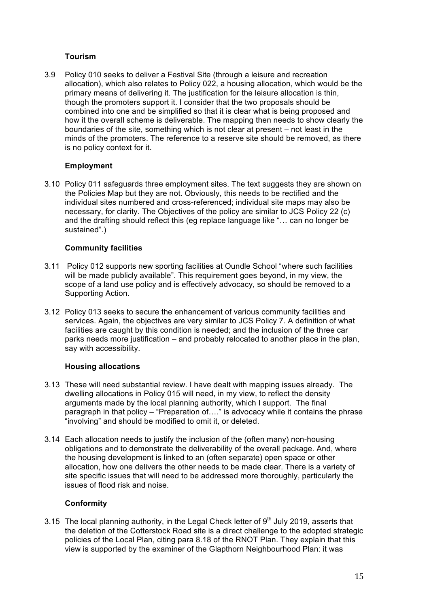### **Tourism**

3.9 Policy 010 seeks to deliver a Festival Site (through a leisure and recreation allocation), which also relates to Policy 022, a housing allocation, which would be the primary means of delivering it. The justification for the leisure allocation is thin, though the promoters support it. I consider that the two proposals should be combined into one and be simplified so that it is clear what is being proposed and how it the overall scheme is deliverable. The mapping then needs to show clearly the boundaries of the site, something which is not clear at present – not least in the minds of the promoters. The reference to a reserve site should be removed, as there is no policy context for it.

#### **Employment**

3.10 Policy 011 safeguards three employment sites. The text suggests they are shown on the Policies Map but they are not. Obviously, this needs to be rectified and the individual sites numbered and cross-referenced; individual site maps may also be necessary, for clarity. The Objectives of the policy are similar to JCS Policy 22 (c) and the drafting should reflect this (eg replace language like "… can no longer be sustained".)

#### **Community facilities**

- 3.11 Policy 012 supports new sporting facilities at Oundle School "where such facilities will be made publicly available". This requirement goes beyond, in my view, the scope of a land use policy and is effectively advocacy, so should be removed to a Supporting Action.
- 3.12 Policy 013 seeks to secure the enhancement of various community facilities and services. Again, the objectives are very similar to JCS Policy 7. A definition of what facilities are caught by this condition is needed; and the inclusion of the three car parks needs more justification – and probably relocated to another place in the plan, say with accessibility.

#### **Housing allocations**

- 3.13 These will need substantial review. I have dealt with mapping issues already. The dwelling allocations in Policy 015 will need, in my view, to reflect the density arguments made by the local planning authority, which I support. The final paragraph in that policy – "Preparation of…." is advocacy while it contains the phrase "involving" and should be modified to omit it, or deleted.
- 3.14 Each allocation needs to justify the inclusion of the (often many) non-housing obligations and to demonstrate the deliverability of the overall package. And, where the housing development is linked to an (often separate) open space or other allocation, how one delivers the other needs to be made clear. There is a variety of site specific issues that will need to be addressed more thoroughly, particularly the issues of flood risk and noise.

#### **Conformity**

3.15 The local planning authority, in the Legal Check letter of  $9<sup>th</sup>$  July 2019, asserts that the deletion of the Cotterstock Road site is a direct challenge to the adopted strategic policies of the Local Plan, citing para 8.18 of the RNOT Plan. They explain that this view is supported by the examiner of the Glapthorn Neighbourhood Plan: it was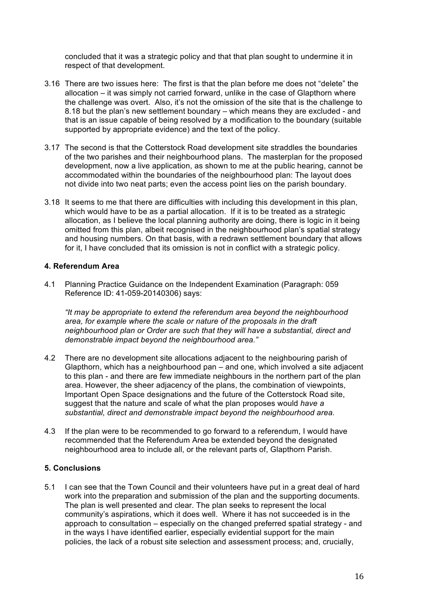concluded that it was a strategic policy and that that plan sought to undermine it in respect of that development.

- 3.16 There are two issues here: The first is that the plan before me does not "delete" the allocation – it was simply not carried forward, unlike in the case of Glapthorn where the challenge was overt. Also, it's not the omission of the site that is the challenge to 8.18 but the plan's new settlement boundary – which means they are excluded - and that is an issue capable of being resolved by a modification to the boundary (suitable supported by appropriate evidence) and the text of the policy.
- 3.17 The second is that the Cotterstock Road development site straddles the boundaries of the two parishes and their neighbourhood plans. The masterplan for the proposed development, now a live application, as shown to me at the public hearing, cannot be accommodated within the boundaries of the neighbourhood plan: The layout does not divide into two neat parts; even the access point lies on the parish boundary.
- 3.18 It seems to me that there are difficulties with including this development in this plan, which would have to be as a partial allocation. If it is to be treated as a strategic allocation, as I believe the local planning authority are doing, there is logic in it being omitted from this plan, albeit recognised in the neighbourhood plan's spatial strategy and housing numbers. On that basis, with a redrawn settlement boundary that allows for it, I have concluded that its omission is not in conflict with a strategic policy.

#### **4. Referendum Area**

4.1 Planning Practice Guidance on the Independent Examination (Paragraph: 059 Reference ID: 41-059-20140306) says:

*"It may be appropriate to extend the referendum area beyond the neighbourhood area, for example where the scale or nature of the proposals in the draft neighbourhood plan or Order are such that they will have a substantial, direct and demonstrable impact beyond the neighbourhood area."*

- 4.2 There are no development site allocations adjacent to the neighbouring parish of Glapthorn, which has a neighbourhood pan – and one, which involved a site adjacent to this plan - and there are few immediate neighbours in the northern part of the plan area. However, the sheer adjacency of the plans, the combination of viewpoints, Important Open Space designations and the future of the Cotterstock Road site, suggest that the nature and scale of what the plan proposes would *have a substantial, direct and demonstrable impact beyond the neighbourhood area.*
- 4.3 If the plan were to be recommended to go forward to a referendum, I would have recommended that the Referendum Area be extended beyond the designated neighbourhood area to include all, or the relevant parts of, Glapthorn Parish.

#### **5. Conclusions**

5.1 I can see that the Town Council and their volunteers have put in a great deal of hard work into the preparation and submission of the plan and the supporting documents. The plan is well presented and clear. The plan seeks to represent the local community's aspirations, which it does well. Where it has not succeeded is in the approach to consultation – especially on the changed preferred spatial strategy - and in the ways I have identified earlier, especially evidential support for the main policies, the lack of a robust site selection and assessment process; and, crucially,